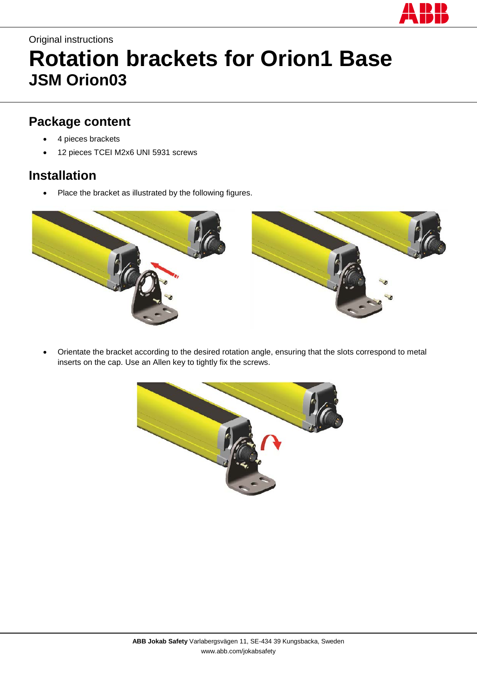

## Original instructions **Rotation brackets for Orion1 Base JSM Orion03**

## **Package content**

- 4 pieces brackets
- 12 pieces TCEI M2x6 UNI 5931 screws

## **Installation**

Place the bracket as illustrated by the following figures.



• Orientate the bracket according to the desired rotation angle, ensuring that the slots correspond to metal inserts on the cap. Use an Allen key to tightly fix the screws.